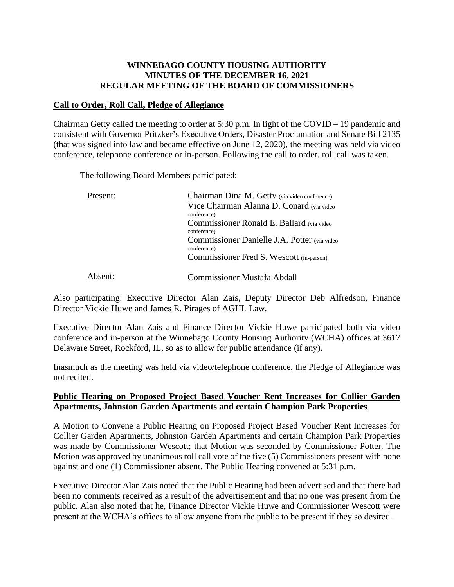# **WINNEBAGO COUNTY HOUSING AUTHORITY MINUTES OF THE DECEMBER 16, 2021 REGULAR MEETING OF THE BOARD OF COMMISSIONERS**

### **Call to Order, Roll Call, Pledge of Allegiance**

Chairman Getty called the meeting to order at 5:30 p.m. In light of the COVID – 19 pandemic and consistent with Governor Pritzker's Executive Orders, Disaster Proclamation and Senate Bill 2135 (that was signed into law and became effective on June 12, 2020), the meeting was held via video conference, telephone conference or in-person. Following the call to order, roll call was taken.

The following Board Members participated:

| Present: | Chairman Dina M. Getty (via video conference)<br>Vice Chairman Alanna D. Conard (via video)<br>conference)<br>Commissioner Ronald E. Ballard (via video<br>conference)<br>Commissioner Danielle J.A. Potter (via video<br>conference)<br>Commissioner Fred S. Wescott (in-person) |
|----------|-----------------------------------------------------------------------------------------------------------------------------------------------------------------------------------------------------------------------------------------------------------------------------------|
| Absent:  | <b>Commissioner Mustafa Abdall</b>                                                                                                                                                                                                                                                |

Also participating: Executive Director Alan Zais, Deputy Director Deb Alfredson, Finance Director Vickie Huwe and James R. Pirages of AGHL Law.

Executive Director Alan Zais and Finance Director Vickie Huwe participated both via video conference and in-person at the Winnebago County Housing Authority (WCHA) offices at 3617 Delaware Street, Rockford, IL, so as to allow for public attendance (if any).

Inasmuch as the meeting was held via video/telephone conference, the Pledge of Allegiance was not recited.

## **Public Hearing on Proposed Project Based Voucher Rent Increases for Collier Garden Apartments, Johnston Garden Apartments and certain Champion Park Properties**

A Motion to Convene a Public Hearing on Proposed Project Based Voucher Rent Increases for Collier Garden Apartments, Johnston Garden Apartments and certain Champion Park Properties was made by Commissioner Wescott; that Motion was seconded by Commissioner Potter. The Motion was approved by unanimous roll call vote of the five (5) Commissioners present with none against and one (1) Commissioner absent. The Public Hearing convened at 5:31 p.m.

Executive Director Alan Zais noted that the Public Hearing had been advertised and that there had been no comments received as a result of the advertisement and that no one was present from the public. Alan also noted that he, Finance Director Vickie Huwe and Commissioner Wescott were present at the WCHA's offices to allow anyone from the public to be present if they so desired.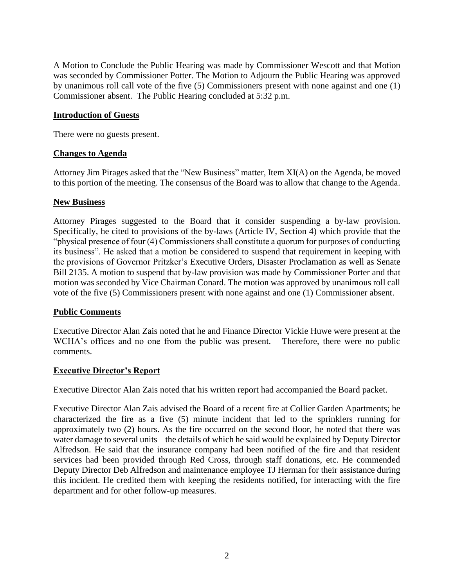A Motion to Conclude the Public Hearing was made by Commissioner Wescott and that Motion was seconded by Commissioner Potter. The Motion to Adjourn the Public Hearing was approved by unanimous roll call vote of the five (5) Commissioners present with none against and one (1) Commissioner absent. The Public Hearing concluded at 5:32 p.m.

# **Introduction of Guests**

There were no guests present.

### **Changes to Agenda**

Attorney Jim Pirages asked that the "New Business" matter, Item XI(A) on the Agenda, be moved to this portion of the meeting. The consensus of the Board was to allow that change to the Agenda.

### **New Business**

Attorney Pirages suggested to the Board that it consider suspending a by-law provision. Specifically, he cited to provisions of the by-laws (Article IV, Section 4) which provide that the "physical presence of four (4) Commissioners shall constitute a quorum for purposes of conducting its business". He asked that a motion be considered to suspend that requirement in keeping with the provisions of Governor Pritzker's Executive Orders, Disaster Proclamation as well as Senate Bill 2135. A motion to suspend that by-law provision was made by Commissioner Porter and that motion was seconded by Vice Chairman Conard. The motion was approved by unanimous roll call vote of the five (5) Commissioners present with none against and one (1) Commissioner absent.

### **Public Comments**

Executive Director Alan Zais noted that he and Finance Director Vickie Huwe were present at the WCHA's offices and no one from the public was present. Therefore, there were no public comments.

### **Executive Director's Report**

Executive Director Alan Zais noted that his written report had accompanied the Board packet.

Executive Director Alan Zais advised the Board of a recent fire at Collier Garden Apartments; he characterized the fire as a five (5) minute incident that led to the sprinklers running for approximately two (2) hours. As the fire occurred on the second floor, he noted that there was water damage to several units – the details of which he said would be explained by Deputy Director Alfredson. He said that the insurance company had been notified of the fire and that resident services had been provided through Red Cross, through staff donations, etc. He commended Deputy Director Deb Alfredson and maintenance employee TJ Herman for their assistance during this incident. He credited them with keeping the residents notified, for interacting with the fire department and for other follow-up measures.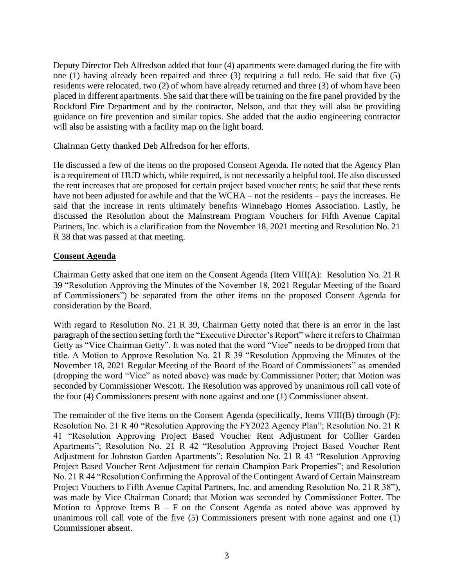Deputy Director Deb Alfredson added that four (4) apartments were damaged during the fire with one (1) having already been repaired and three (3) requiring a full redo. He said that five (5) residents were relocated, two (2) of whom have already returned and three (3) of whom have been placed in different apartments. She said that there will be training on the fire panel provided by the Rockford Fire Department and by the contractor, Nelson, and that they will also be providing guidance on fire prevention and similar topics. She added that the audio engineering contractor will also be assisting with a facility map on the light board.

Chairman Getty thanked Deb Alfredson for her efforts.

He discussed a few of the items on the proposed Consent Agenda. He noted that the Agency Plan is a requirement of HUD which, while required, is not necessarily a helpful tool. He also discussed the rent increases that are proposed for certain project based voucher rents; he said that these rents have not been adjusted for awhile and that the WCHA – not the residents – pays the increases. He said that the increase in rents ultimately benefits Winnebago Homes Association. Lastly, he discussed the Resolution about the Mainstream Program Vouchers for Fifth Avenue Capital Partners, Inc. which is a clarification from the November 18, 2021 meeting and Resolution No. 21 R 38 that was passed at that meeting.

## **Consent Agenda**

Chairman Getty asked that one item on the Consent Agenda (Item VIII(A): Resolution No. 21 R 39 "Resolution Approving the Minutes of the November 18, 2021 Regular Meeting of the Board of Commissioners") be separated from the other items on the proposed Consent Agenda for consideration by the Board.

With regard to Resolution No. 21 R 39, Chairman Getty noted that there is an error in the last paragraph of the section setting forth the "Executive Director's Report" where it refersto Chairman Getty as "Vice Chairman Getty". It was noted that the word "Vice" needs to be dropped from that title. A Motion to Approve Resolution No. 21 R 39 "Resolution Approving the Minutes of the November 18, 2021 Regular Meeting of the Board of the Board of Commissioners" as amended (dropping the word "Vice" as noted above) was made by Commissioner Potter; that Motion was seconded by Commissioner Wescott. The Resolution was approved by unanimous roll call vote of the four (4) Commissioners present with none against and one (1) Commissioner absent.

The remainder of the five items on the Consent Agenda (specifically, Items VIII(B) through (F): Resolution No. 21 R 40 "Resolution Approving the FY2022 Agency Plan"; Resolution No. 21 R 41 "Resolution Approving Project Based Voucher Rent Adjustment for Collier Garden Apartments"; Resolution No. 21 R 42 "Resolution Approving Project Based Voucher Rent Adjustment for Johnston Garden Apartments"; Resolution No. 21 R 43 "Resolution Approving Project Based Voucher Rent Adjustment for certain Champion Park Properties"; and Resolution No. 21 R 44 "Resolution Confirming the Approval of the Contingent Award of Certain Mainstream Project Vouchers to Fifth Avenue Capital Partners, Inc. and amending Resolution No. 21 R 38"), was made by Vice Chairman Conard; that Motion was seconded by Commissioner Potter. The Motion to Approve Items  $B - F$  on the Consent Agenda as noted above was approved by unanimous roll call vote of the five (5) Commissioners present with none against and one (1) Commissioner absent.